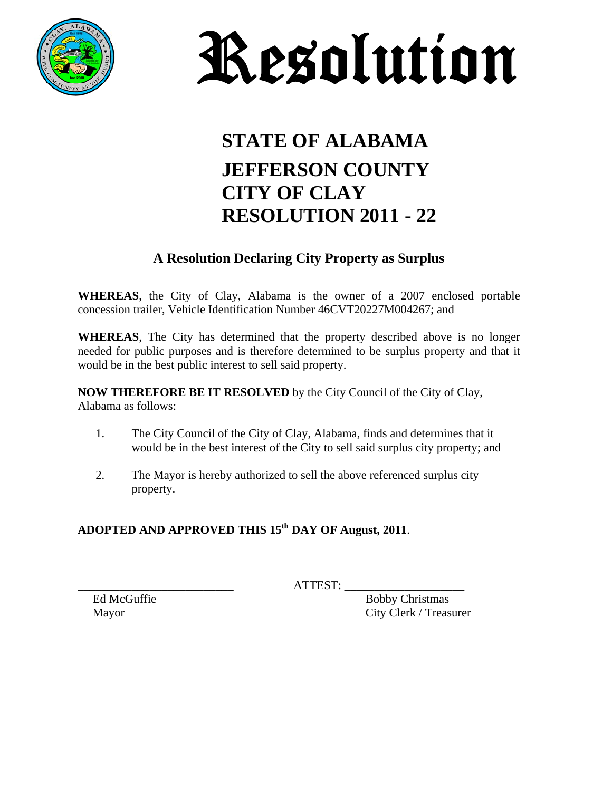



## **STATE OF ALABAMA JEFFERSON COUNTY CITY OF CLAY RESOLUTION 2011 - 22**

#### **A Resolution Declaring City Property as Surplus**

**WHEREAS**, the City of Clay, Alabama is the owner of a 2007 enclosed portable concession trailer, Vehicle Identification Number 46CVT20227M004267; and

**WHEREAS**, The City has determined that the property described above is no longer needed for public purposes and is therefore determined to be surplus property and that it would be in the best public interest to sell said property.

**NOW THEREFORE BE IT RESOLVED** by the City Council of the City of Clay, Alabama as follows:

- 1. The City Council of the City of Clay, Alabama, finds and determines that it would be in the best interest of the City to sell said surplus city property; and
- 2. The Mayor is hereby authorized to sell the above referenced surplus city property.

### ADOPTED AND APPROVED THIS 15<sup>th</sup> DAY OF August, 2011.

 $\overline{\text{ATTEST}}$ :

Ed McGuffie Bobby Christmas Mayor City Clerk / Treasurer